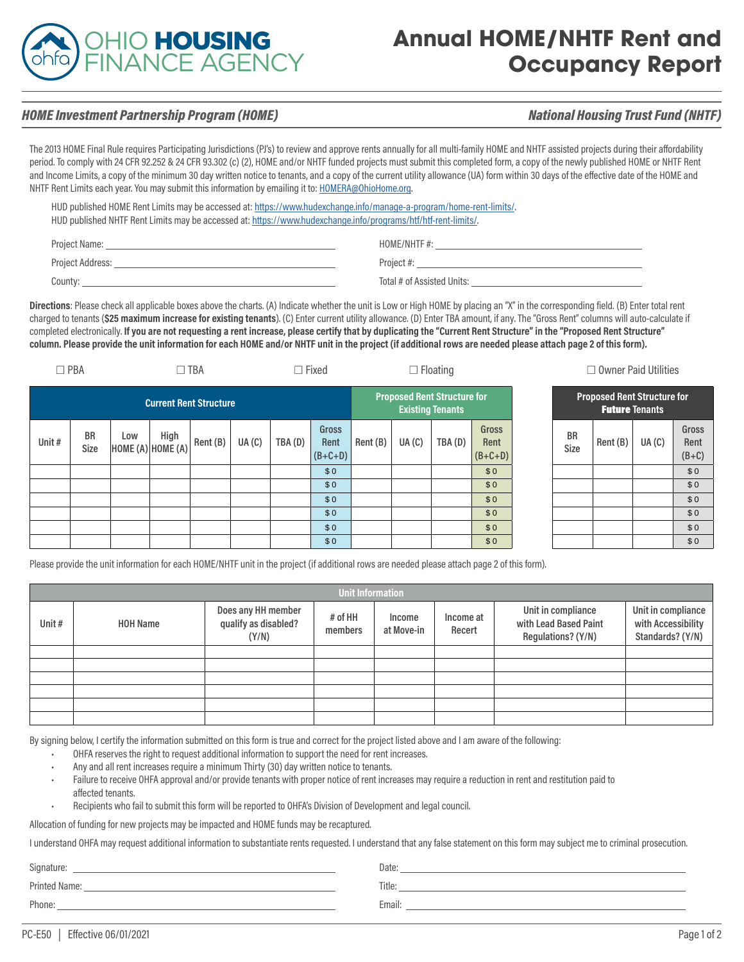

## **Annual HOME/NHTF Rent and Occupancy Report**

## *HOME Investment Partnership Program (HOME)*

## *National Housing Trust Fund (NHTF)*

The 2013 HOME Final Rule requires Participating Jurisdictions (PJ's) to review and approve rents annually for all multi-family HOME and NHTF assisted projects during their affordability period. To comply with 24 CFR 92.252 & 24 CFR 93.302 (c) (2), HOME and/or NHTF funded projects must submit this completed form, a copy of the newly published HOME or NHTF Rent and Income Limits, a copy of the minimum 30 day written notice to tenants, and a copy of the current utility allowance (UA) form within 30 days of the effective date of the HOME and NHTF Rent Limits each year. You may submit this information by emailing it to: [HOMERA@OhioHome.org.](mailto:HOMERA%40OhioHome.org?subject=)

HUD published HOME Rent Limits may be accessed at: [https://www.hudexchange.info/manage-a-program/home-rent-limits/.](http://www.hudexchange.info/manage-a-program/home-rent-limits/) HUD published NHTF Rent Limits may be accessed at: [https://www.hudexchange.info/programs/htf/htf-rent-limits/.](https://www.hudexchange.info/programs/htf/htf-rent-limits/)

| Project Name:    | HOME/NHTF#:                |
|------------------|----------------------------|
| Project Address: | Project #:                 |
| County:          | Total # of Assisted Units: |

**Directions**: Please check all applicable boxes above the charts. (A) Indicate whether the unit is Low or High HOME by placing an "X" in the corresponding field. (B) Enter total rent charged to tenants (**\$25 maximum increase for existing tenants**). (C) Enter current utility allowance. (D) Enter TBA amount, if any. The "Gross Rent" columns will auto-calculate if completed electronically. If you are not requesting a rent increase, please certify that by duplicating the "Current Rent Structure" in the "Proposed Rent Structure" **column. Please provide the unit information for each HOME and/or NHTF unit in the project (if additional rows are needed please attach page 2 of this form).**

|                               | $\Box$ PBA<br>$\Box$ Fixed<br>$\Box$ TBA |     |                              |          |       | $\Box$ Floating                                               |                            |          |       | $\Box$ Owner Paid Utilities |                                                             |                          |          |       |                          |
|-------------------------------|------------------------------------------|-----|------------------------------|----------|-------|---------------------------------------------------------------|----------------------------|----------|-------|-----------------------------|-------------------------------------------------------------|--------------------------|----------|-------|--------------------------|
| <b>Current Rent Structure</b> |                                          |     |                              |          |       | <b>Proposed Rent Structure for</b><br><b>Existing Tenants</b> |                            |          |       |                             | <b>Proposed Rent Structure for</b><br><b>Future Tenants</b> |                          |          |       |                          |
| Unit#                         | <b>BR</b><br>Size                        | Low | High<br>$HOME(A)$ HOME $(A)$ | Rent (B) | UA(C) | TBA (D)                                                       | Gross<br>Rent<br>$(B+C+D)$ | Rent (B) | UA(C) | TBA (D)                     | <b>Gross</b><br>Rent<br>$(B+C+D)$                           | <b>BR</b><br><b>Size</b> | Rent (B) | UA(C) | Gross<br>Rent<br>$(B+C)$ |
|                               |                                          |     |                              |          |       |                                                               | \$0                        |          |       |                             | \$0                                                         |                          |          |       | \$0                      |
|                               |                                          |     |                              |          |       |                                                               | \$0                        |          |       |                             | \$0                                                         |                          |          |       | \$0                      |
|                               |                                          |     |                              |          |       |                                                               | \$0                        |          |       |                             | \$0                                                         |                          |          |       | \$0                      |
|                               |                                          |     |                              |          |       |                                                               | \$0                        |          |       |                             | \$0                                                         |                          |          |       | \$0                      |
|                               |                                          |     |                              |          |       |                                                               | \$0                        |          |       |                             | \$0                                                         |                          |          |       | \$0                      |
|                               |                                          |     |                              |          |       |                                                               | \$0                        |          |       |                             | \$0                                                         |                          |          |       | \$0                      |

Please provide the unit information for each HOME/NHTF unit in the project (if additional rows are needed please attach page 2 of this form).

| <b>Unit Information</b> |                 |                                                     |                    |                      |                     |                                                                   |                                                              |  |  |  |  |
|-------------------------|-----------------|-----------------------------------------------------|--------------------|----------------------|---------------------|-------------------------------------------------------------------|--------------------------------------------------------------|--|--|--|--|
| Unit#                   | <b>HOH Name</b> | Does any HH member<br>qualify as disabled?<br>(Y/N) | # of HH<br>members | Income<br>at Move-in | Income at<br>Recert | Unit in compliance<br>with Lead Based Paint<br>Regulations? (Y/N) | Unit in compliance<br>with Accessibility<br>Standards? (Y/N) |  |  |  |  |
|                         |                 |                                                     |                    |                      |                     |                                                                   |                                                              |  |  |  |  |
|                         |                 |                                                     |                    |                      |                     |                                                                   |                                                              |  |  |  |  |
|                         |                 |                                                     |                    |                      |                     |                                                                   |                                                              |  |  |  |  |
|                         |                 |                                                     |                    |                      |                     |                                                                   |                                                              |  |  |  |  |
|                         |                 |                                                     |                    |                      |                     |                                                                   |                                                              |  |  |  |  |
|                         |                 |                                                     |                    |                      |                     |                                                                   |                                                              |  |  |  |  |

By signing below, I certify the information submitted on this form is true and correct for the project listed above and I am aware of the following:

- OHFA reserves the right to request additional information to support the need for rent increases.
- Any and all rent increases require a minimum Thirty (30) day written notice to tenants.
- Failure to receive OHFA approval and/or provide tenants with proper notice of rent increases may require a reduction in rent and restitution paid to affected tenants.
- Recipients who fail to submit this form will be reported to OHFA's Division of Development and legal council.

Allocation of funding for new projects may be impacted and HOME funds may be recaptured.

I understand OHFA may request additional information to substantiate rents requested. I understand that any false statement on this form may subject me to criminal prosecution.

Signature: Date:

Printed Name: Title: